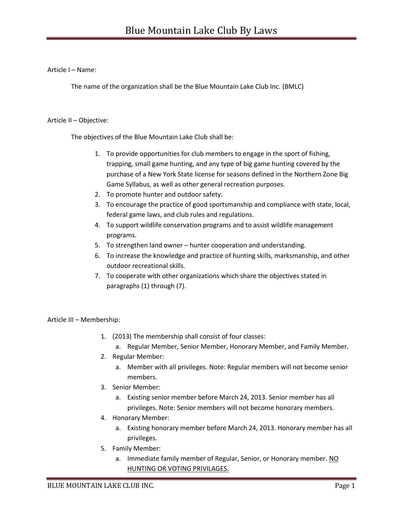Article I – Name:

The name of the organization shall be the Blue Mountain Lake Club Inc. (BMLC)

### Article II – Objective:

The objectives of the Blue Mountain Lake Club shall be:

- 1. To provide opportunities for club members to engage in the sport of fishing, trapping, small game hunting, and any type of big game hunting covered by the purchase of a New York State license for seasons defined in the Northern Zone Big Game Syllabus, as well as other general recreation purposes.
- 2. To promote hunter and outdoor safety.
- 3. To encourage the practice of good sportsmanship and compliance with state, local, federal game laws, and club rules and regulations.
- 4. To support wildlife conservation programs and to assist wildlife management programs.
- 5. To strengthen land owner hunter cooperation and understanding.
- 6. To increase the knowledge and practice of hunting skills, marksmanship, and other outdoor recreational skills.
- 7. To cooperate with other organizations which share the objectives stated in paragraphs (1) through (7).

Article III – Membership:

- 1. (2013) The membership shall consist of four classes:
	- a. Regular Member, Senior Member, Honorary Member, and Family Member.
- 2. Regular Member:
	- a. Member with all privileges. Note: Regular members will not become senior members.
- 3. Senior Member:
	- a. Existing senior member before March 24, 2013. Senior member has all privileges. Note: Senior members will not become honorary members.
- 4. Honorary Member:
	- a. Existing honorary member before March 24, 2013. Honorary member has all privileges.
- 5. Family Member:
	- a. Immediate family member of Regular, Senior, or Honorary member. NO HUNTING OR VOTING PRIVILAGES.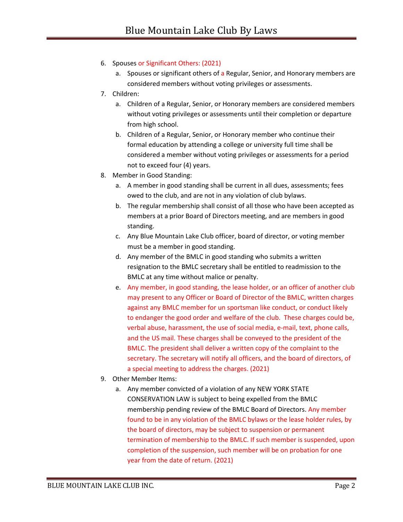# 6. Spouses or Significant Others: (2021)

- a. Spouses or significant others of a Regular, Senior, and Honorary members are considered members without voting privileges or assessments.
- 7. Children:
	- a. Children of a Regular, Senior, or Honorary members are considered members without voting privileges or assessments until their completion or departure from high school.
	- b. Children of a Regular, Senior, or Honorary member who continue their formal education by attending a college or university full time shall be considered a member without voting privileges or assessments for a period not to exceed four (4) years.
- 8. Member in Good Standing:
	- a. A member in good standing shall be current in all dues, assessments; fees owed to the club, and are not in any violation of club bylaws.
	- b. The regular membership shall consist of all those who have been accepted as members at a prior Board of Directors meeting, and are members in good standing.
	- c. Any Blue Mountain Lake Club officer, board of director, or voting member must be a member in good standing.
	- d. Any member of the BMLC in good standing who submits a written resignation to the BMLC secretary shall be entitled to readmission to the BMLC at any time without malice or penalty.
	- e. Any member, in good standing, the lease holder, or an officer of another club may present to any Officer or Board of Director of the BMLC, written charges against any BMLC member for un sportsman like conduct, or conduct likely to endanger the good order and welfare of the club. These charges could be, verbal abuse, harassment, the use of social media, e-mail, text, phone calls, and the US mail. These charges shall be conveyed to the president of the BMLC. The president shall deliver a written copy of the complaint to the secretary. The secretary will notify all officers, and the board of directors, of a special meeting to address the charges. (2021)
- 9. Other Member Items:
	- a. Any member convicted of a violation of any NEW YORK STATE CONSERVATION LAW is subject to being expelled from the BMLC membership pending review of the BMLC Board of Directors. Any member found to be in any violation of the BMLC bylaws or the lease holder rules, by the board of directors, may be subject to suspension or permanent termination of membership to the BMLC. If such member is suspended, upon completion of the suspension, such member will be on probation for one year from the date of return. (2021)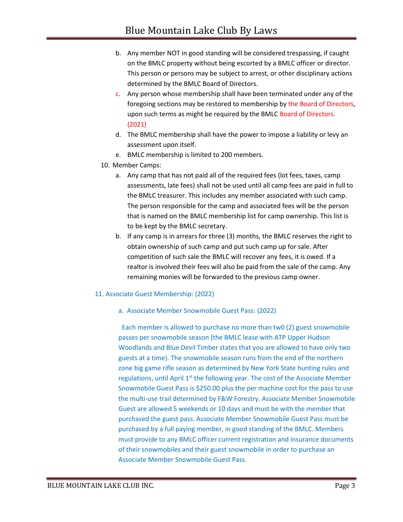- b. Any member NOT in good standing will be considered trespassing, if caught on the BMLC property without being escorted by a BMLC officer or director. This person or persons may be subject to arrest, or other disciplinary actions determined by the BMLC Board of Directors.
- c. Any person whose membership shall have been terminated under any of the foregoing sections may be restored to membership by the Board of Directors, upon such terms as might be required by the BMLC Board of Directors. (2021)
- d. The BMLC membership shall have the power to impose a liability or levy an assessment upon itself.
- e. BMLC membership is limited to 200 members.
- 10. Member Camps:
	- a. Any camp that has not paid all of the required fees (lot fees, taxes, camp assessments, late fees) shall not be used until all camp fees are paid in full to the BMLC treasurer. This includes any member associated with such camp. The person responsible for the camp and associated fees will be the person that is named on the BMLC membership list for camp ownership. This list is to be kept by the BMLC secretary.
	- b. If any camp is in arrears for three (3) months, the BMLC reserves the right to obtain ownership of such camp and put such camp up for sale. After competition of such sale the BMLC will recover any fees, it is owed. If a realtor is involved their fees will also be paid from the sale of the camp. Any remaining monies will be forwarded to the previous camp owner.

#### 11. Associate Guest Membership: (2022)

#### a. Associate Member Snowmobile Guest Pass: (2022)

Each member is allowed to purchase no more than tw0 (2) guest snowmobile passes per snowmobile season (the BMLC lease with ATP Upper Hudson Woodlands and Blue Devil Timber states that you are allowed to have only two guests at a time). The snowmobile season runs from the end of the northern zone big game rifle season as determined by New York State hunting rules and regulations, until April 1<sup>st</sup> the following year. The cost of the Associate Member Snowmobile Guest Pass is \$250.00 plus the per machine cost for the pass to use the multi-use trail determined by F&W Forestry. Associate Member Snowmobile Guest are allowed 5 weekends or 10 days and must be with the member that purchased the guest pass. Associate Member Snowmobile Guest Pass must be purchased by a full paying member, in good standing of the BMLC. Members must provide to any BMLC officer current registration and insurance documents of their snowmobiles and their guest snowmobile in order to purchase an Associate Member Snowmobile Guest Pass.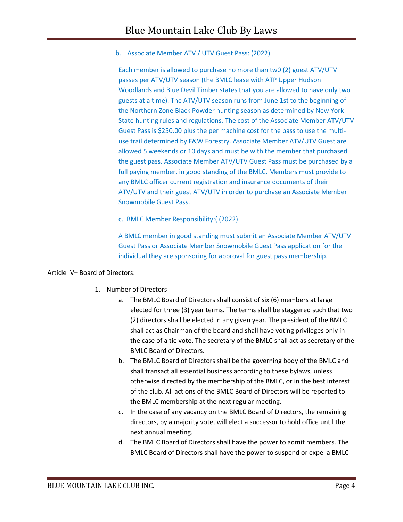b. Associate Member ATV / UTV Guest Pass: (2022)

Each member is allowed to purchase no more than tw0 (2) guest ATV/UTV passes per ATV/UTV season (the BMLC lease with ATP Upper Hudson Woodlands and Blue Devil Timber states that you are allowed to have only two guests at a time). The ATV/UTV season runs from June 1st to the beginning of the Northern Zone Black Powder hunting season as determined by New York State hunting rules and regulations. The cost of the Associate Member ATV/UTV Guest Pass is \$250.00 plus the per machine cost for the pass to use the multiuse trail determined by F&W Forestry. Associate Member ATV/UTV Guest are allowed 5 weekends or 10 days and must be with the member that purchased the guest pass. Associate Member ATV/UTV Guest Pass must be purchased by a full paying member, in good standing of the BMLC. Members must provide to any BMLC officer current registration and insurance documents of their ATV/UTV and their guest ATV/UTV in order to purchase an Associate Member Snowmobile Guest Pass.

c. BMLC Member Responsibility:( (2022)

A BMLC member in good standing must submit an Associate Member ATV/UTV Guest Pass or Associate Member Snowmobile Guest Pass application for the individual they are sponsoring for approval for guest pass membership.

## Article IV– Board of Directors:

- 1. Number of Directors
	- a. The BMLC Board of Directors shall consist of six (6) members at large elected for three (3) year terms. The terms shall be staggered such that two (2) directors shall be elected in any given year. The president of the BMLC shall act as Chairman of the board and shall have voting privileges only in the case of a tie vote. The secretary of the BMLC shall act as secretary of the BMLC Board of Directors.
	- b. The BMLC Board of Directors shall be the governing body of the BMLC and shall transact all essential business according to these bylaws, unless otherwise directed by the membership of the BMLC, or in the best interest of the club. All actions of the BMLC Board of Directors will be reported to the BMLC membership at the next regular meeting.
	- c. In the case of any vacancy on the BMLC Board of Directors, the remaining directors, by a majority vote, will elect a successor to hold office until the next annual meeting.
	- d. The BMLC Board of Directors shall have the power to admit members. The BMLC Board of Directors shall have the power to suspend or expel a BMLC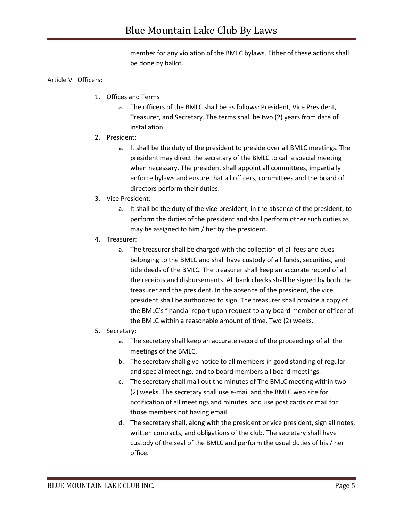member for any violation of the BMLC bylaws. Either of these actions shall be done by ballot.

## Article V– Officers:

- 1. Offices and Terms
	- a. The officers of the BMLC shall be as follows: President, Vice President, Treasurer, and Secretary. The terms shall be two (2) years from date of installation.
- 2. President:
	- a. It shall be the duty of the president to preside over all BMLC meetings. The president may direct the secretary of the BMLC to call a special meeting when necessary. The president shall appoint all committees, impartially enforce bylaws and ensure that all officers, committees and the board of directors perform their duties.
- 3. Vice President:
	- a. It shall be the duty of the vice president, in the absence of the president, to perform the duties of the president and shall perform other such duties as may be assigned to him / her by the president.
- 4. Treasurer:
	- a. The treasurer shall be charged with the collection of all fees and dues belonging to the BMLC and shall have custody of all funds, securities, and title deeds of the BMLC. The treasurer shall keep an accurate record of all the receipts and disbursements. All bank checks shall be signed by both the treasurer and the president. In the absence of the president, the vice president shall be authorized to sign. The treasurer shall provide a copy of the BMLC's financial report upon request to any board member or officer of the BMLC within a reasonable amount of time. Two (2) weeks.

## 5. Secretary:

- a. The secretary shall keep an accurate record of the proceedings of all the meetings of the BMLC.
- b. The secretary shall give notice to all members in good standing of regular and special meetings, and to board members all board meetings.
- c. The secretary shall mail out the minutes of The BMLC meeting within two (2) weeks. The secretary shall use e-mail and the BMLC web site for notification of all meetings and minutes, and use post cards or mail for those members not having email.
- d. The secretary shall, along with the president or vice president, sign all notes, written contracts, and obligations of the club. The secretary shall have custody of the seal of the BMLC and perform the usual duties of his / her office.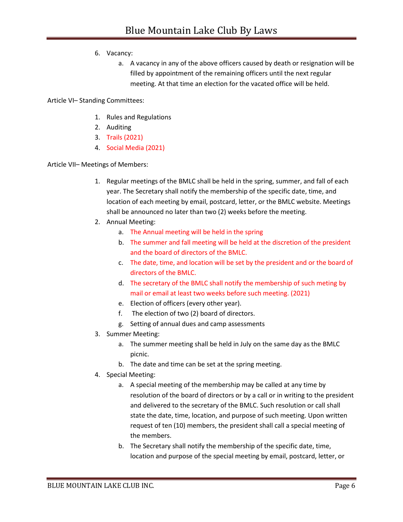- 6. Vacancy:
	- a. A vacancy in any of the above officers caused by death or resignation will be filled by appointment of the remaining officers until the next regular meeting. At that time an election for the vacated office will be held.

Article VI– Standing Committees:

- 1. Rules and Regulations
- 2. Auditing
- 3. Trails (2021)
- 4. Social Media (2021)

Article VII– Meetings of Members:

- 1. Regular meetings of the BMLC shall be held in the spring, summer, and fall of each year. The Secretary shall notify the membership of the specific date, time, and location of each meeting by email, postcard, letter, or the BMLC website. Meetings shall be announced no later than two (2) weeks before the meeting.
- 2. Annual Meeting:
	- a. The Annual meeting will be held in the spring
	- b. The summer and fall meeting will be held at the discretion of the president and the board of directors of the BMLC.
	- c. The date, time, and location will be set by the president and or the board of directors of the BMLC.
	- d. The secretary of the BMLC shall notify the membership of such meting by mail or email at least two weeks before such meeting. (2021)
	- e. Election of officers (every other year).
	- f. The election of two (2) board of directors.
	- g. Setting of annual dues and camp assessments
- 3. Summer Meeting:
	- a. The summer meeting shall be held in July on the same day as the BMLC picnic.
	- b. The date and time can be set at the spring meeting.
- 4. Special Meeting:
	- a. A special meeting of the membership may be called at any time by resolution of the board of directors or by a call or in writing to the president and delivered to the secretary of the BMLC. Such resolution or call shall state the date, time, location, and purpose of such meeting. Upon written request of ten (10) members, the president shall call a special meeting of the members.
	- b. The Secretary shall notify the membership of the specific date, time, location and purpose of the special meeting by email, postcard, letter, or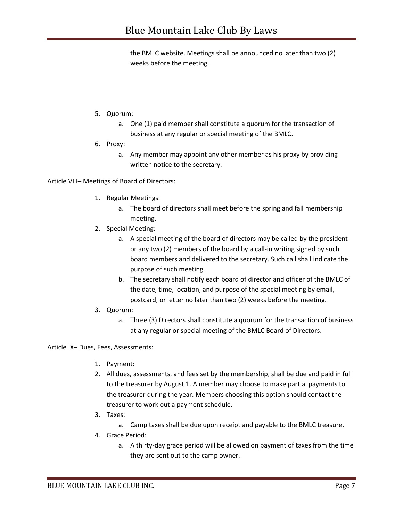the BMLC website. Meetings shall be announced no later than two (2) weeks before the meeting.

- 5. Quorum:
	- a. One (1) paid member shall constitute a quorum for the transaction of business at any regular or special meeting of the BMLC.
- 6. Proxy:
	- a. Any member may appoint any other member as his proxy by providing written notice to the secretary.

Article VIII– Meetings of Board of Directors:

- 1. Regular Meetings:
	- a. The board of directors shall meet before the spring and fall membership meeting.
- 2. Special Meeting:
	- a. A special meeting of the board of directors may be called by the president or any two (2) members of the board by a call-in writing signed by such board members and delivered to the secretary. Such call shall indicate the purpose of such meeting.
	- b. The secretary shall notify each board of director and officer of the BMLC of the date, time, location, and purpose of the special meeting by email, postcard, or letter no later than two (2) weeks before the meeting.
- 3. Quorum:
	- a. Three (3) Directors shall constitute a quorum for the transaction of business at any regular or special meeting of the BMLC Board of Directors.

Article IX– Dues, Fees, Assessments:

- 1. Payment:
- 2. All dues, assessments, and fees set by the membership, shall be due and paid in full to the treasurer by August 1. A member may choose to make partial payments to the treasurer during the year. Members choosing this option should contact the treasurer to work out a payment schedule.
- 3. Taxes:
	- a. Camp taxes shall be due upon receipt and payable to the BMLC treasure.
- 4. Grace Period:
	- a. A thirty-day grace period will be allowed on payment of taxes from the time they are sent out to the camp owner.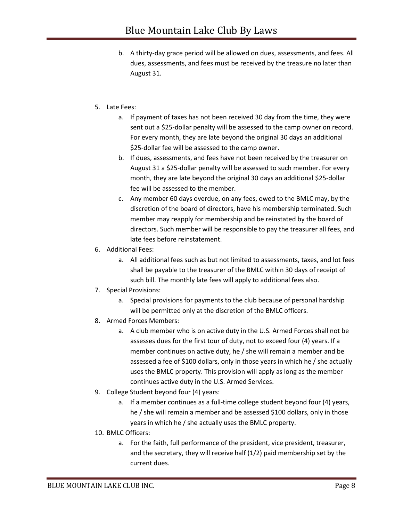- b. A thirty-day grace period will be allowed on dues, assessments, and fees. All dues, assessments, and fees must be received by the treasure no later than August 31.
- 5. Late Fees:
	- a. If payment of taxes has not been received 30 day from the time, they were sent out a \$25-dollar penalty will be assessed to the camp owner on record. For every month, they are late beyond the original 30 days an additional \$25-dollar fee will be assessed to the camp owner.
	- b. If dues, assessments, and fees have not been received by the treasurer on August 31 a \$25-dollar penalty will be assessed to such member. For every month, they are late beyond the original 30 days an additional \$25-dollar fee will be assessed to the member.
	- c. Any member 60 days overdue, on any fees, owed to the BMLC may, by the discretion of the board of directors, have his membership terminated. Such member may reapply for membership and be reinstated by the board of directors. Such member will be responsible to pay the treasurer all fees, and late fees before reinstatement.
- 6. Additional Fees:
	- a. All additional fees such as but not limited to assessments, taxes, and lot fees shall be payable to the treasurer of the BMLC within 30 days of receipt of such bill. The monthly late fees will apply to additional fees also.
- 7. Special Provisions:
	- a. Special provisions for payments to the club because of personal hardship will be permitted only at the discretion of the BMLC officers.
- 8. Armed Forces Members:
	- a. A club member who is on active duty in the U.S. Armed Forces shall not be assesses dues for the first tour of duty, not to exceed four (4) years. If a member continues on active duty, he / she will remain a member and be assessed a fee of \$100 dollars, only in those years in which he / she actually uses the BMLC property. This provision will apply as long as the member continues active duty in the U.S. Armed Services.
- 9. College Student beyond four (4) years:
	- a. If a member continues as a full-time college student beyond four (4) years, he / she will remain a member and be assessed \$100 dollars, only in those years in which he / she actually uses the BMLC property.
- 10. BMLC Officers:
	- a. For the faith, full performance of the president, vice president, treasurer, and the secretary, they will receive half (1/2) paid membership set by the current dues.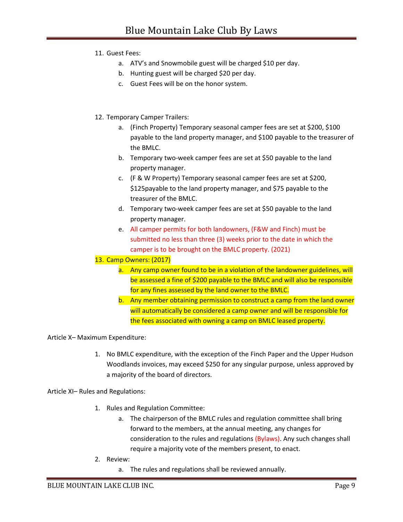11. Guest Fees:

- a. ATV's and Snowmobile guest will be charged \$10 per day.
- b. Hunting guest will be charged \$20 per day.
- c. Guest Fees will be on the honor system.
- 12. Temporary Camper Trailers:
	- a. (Finch Property) Temporary seasonal camper fees are set at \$200, \$100 payable to the land property manager, and \$100 payable to the treasurer of the BMLC.
	- b. Temporary two-week camper fees are set at \$50 payable to the land property manager.
	- c. (F & W Property) Temporary seasonal camper fees are set at \$200, \$125payable to the land property manager, and \$75 payable to the treasurer of the BMLC.
	- d. Temporary two-week camper fees are set at \$50 payable to the land property manager.
	- e. All camper permits for both landowners, (F&W and Finch) must be submitted no less than three (3) weeks prior to the date in which the camper is to be brought on the BMLC property. (2021)

13. Camp Owners: (2017)

- a. Any camp owner found to be in a violation of the landowner guidelines, will be assessed a fine of \$200 payable to the BMLC and will also be responsible for any fines assessed by the land owner to the BMLC.
- b. Any member obtaining permission to construct a camp from the land owner will automatically be considered a camp owner and will be responsible for the fees associated with owning a camp on BMLC leased property.

Article X– Maximum Expenditure:

1. No BMLC expenditure, with the exception of the Finch Paper and the Upper Hudson Woodlands invoices, may exceed \$250 for any singular purpose, unless approved by a majority of the board of directors.

Article XI– Rules and Regulations:

- 1. Rules and Regulation Committee:
	- a. The chairperson of the BMLC rules and regulation committee shall bring forward to the members, at the annual meeting, any changes for consideration to the rules and regulations (Bylaws). Any such changes shall require a majority vote of the members present, to enact.
- 2. Review:
	- a. The rules and regulations shall be reviewed annually.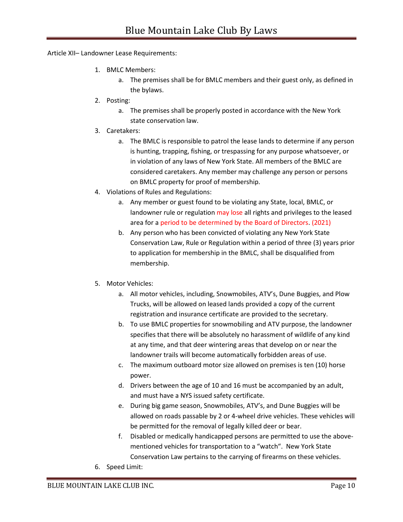Article XII– Landowner Lease Requirements:

- 1. BMLC Members:
	- a. The premises shall be for BMLC members and their guest only, as defined in the bylaws.
- 2. Posting:
	- a. The premises shall be properly posted in accordance with the New York state conservation law.
- 3. Caretakers:
	- a. The BMLC is responsible to patrol the lease lands to determine if any person is hunting, trapping, fishing, or trespassing for any purpose whatsoever, or in violation of any laws of New York State. All members of the BMLC are considered caretakers. Any member may challenge any person or persons on BMLC property for proof of membership.
- 4. Violations of Rules and Regulations:
	- a. Any member or guest found to be violating any State, local, BMLC, or landowner rule or regulation may lose all rights and privileges to the leased area for a period to be determined by the Board of Directors. (2021)
	- b. Any person who has been convicted of violating any New York State Conservation Law, Rule or Regulation within a period of three (3) years prior to application for membership in the BMLC, shall be disqualified from membership.
- 5. Motor Vehicles:
	- a. All motor vehicles, including, Snowmobiles, ATV's, Dune Buggies, and Plow Trucks, will be allowed on leased lands provided a copy of the current registration and insurance certificate are provided to the secretary.
	- b. To use BMLC properties for snowmobiling and ATV purpose, the landowner specifies that there will be absolutely no harassment of wildlife of any kind at any time, and that deer wintering areas that develop on or near the landowner trails will become automatically forbidden areas of use.
	- c. The maximum outboard motor size allowed on premises is ten (10) horse power.
	- d. Drivers between the age of 10 and 16 must be accompanied by an adult, and must have a NYS issued safety certificate.
	- e. During big game season, Snowmobiles, ATV's, and Dune Buggies will be allowed on roads passable by 2 or 4-wheel drive vehicles. These vehicles will be permitted for the removal of legally killed deer or bear.
	- f. Disabled or medically handicapped persons are permitted to use the abovementioned vehicles for transportation to a "watch". New York State Conservation Law pertains to the carrying of firearms on these vehicles.
- 6. Speed Limit: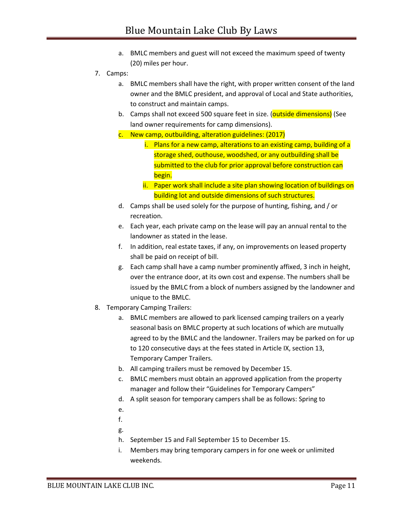- a. BMLC members and guest will not exceed the maximum speed of twenty (20) miles per hour.
- 7. Camps:
	- a. BMLC members shall have the right, with proper written consent of the land owner and the BMLC president, and approval of Local and State authorities, to construct and maintain camps.
	- b. Camps shall not exceed 500 square feet in size. (outside dimensions) (See land owner requirements for camp dimensions).
	- c. New camp, outbuilding, alteration guidelines: (2017)
		- i. Plans for a new camp, alterations to an existing camp, building of a storage shed, outhouse, woodshed, or any outbuilding shall be submitted to the club for prior approval before construction can begin.
		- ii. Paper work shall include a site plan showing location of buildings on building lot and outside dimensions of such structures.
	- d. Camps shall be used solely for the purpose of hunting, fishing, and / or recreation.
	- e. Each year, each private camp on the lease will pay an annual rental to the landowner as stated in the lease.
	- f. In addition, real estate taxes, if any, on improvements on leased property shall be paid on receipt of bill.
	- g. Each camp shall have a camp number prominently affixed, 3 inch in height, over the entrance door, at its own cost and expense. The numbers shall be issued by the BMLC from a block of numbers assigned by the landowner and unique to the BMLC.
- 8. Temporary Camping Trailers:
	- a. BMLC members are allowed to park licensed camping trailers on a yearly seasonal basis on BMLC property at such locations of which are mutually agreed to by the BMLC and the landowner. Trailers may be parked on for up to 120 consecutive days at the fees stated in Article IX, section 13, Temporary Camper Trailers.
	- b. All camping trailers must be removed by December 15.
	- c. BMLC members must obtain an approved application from the property manager and follow their "Guidelines for Temporary Campers"
	- d. A split season for temporary campers shall be as follows: Spring to
	- e.
	- f.
	- g.
	- h. September 15 and Fall September 15 to December 15.
	- i. Members may bring temporary campers in for one week or unlimited weekends.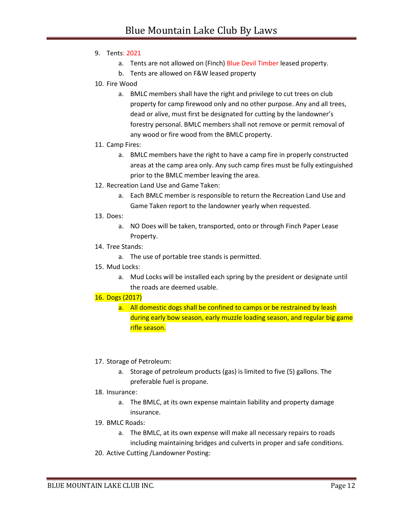- 9. Tents: 2021
	- a. Tents are not allowed on (Finch) Blue Devil Timber leased property.
	- b. Tents are allowed on F&W leased property
- 10. Fire Wood
	- a. BMLC members shall have the right and privilege to cut trees on club property for camp firewood only and no other purpose. Any and all trees, dead or alive, must first be designated for cutting by the landowner's forestry personal. BMLC members shall not remove or permit removal of any wood or fire wood from the BMLC property.
- 11. Camp Fires:
	- a. BMLC members have the right to have a camp fire in properly constructed areas at the camp area only. Any such camp fires must be fully extinguished prior to the BMLC member leaving the area.
- 12. Recreation Land Use and Game Taken:
	- a. Each BMLC member is responsible to return the Recreation Land Use and Game Taken report to the landowner yearly when requested.
- 13. Does:
	- a. NO Does will be taken, transported, onto or through Finch Paper Lease Property.
- 14. Tree Stands:
	- a. The use of portable tree stands is permitted.
- 15. Mud Locks:
	- a. Mud Locks will be installed each spring by the president or designate until the roads are deemed usable.

#### 16. Dogs (2017)

- a. All domestic dogs shall be confined to camps or be restrained by leash during early bow season, early muzzle loading season, and regular big game rifle season.
- 17. Storage of Petroleum:
	- a. Storage of petroleum products (gas) is limited to five (5) gallons. The preferable fuel is propane.

#### 18. Insurance:

- a. The BMLC, at its own expense maintain liability and property damage insurance.
- 19. BMLC Roads:
	- a. The BMLC, at its own expense will make all necessary repairs to roads including maintaining bridges and culverts in proper and safe conditions.
- 20. Active Cutting /Landowner Posting: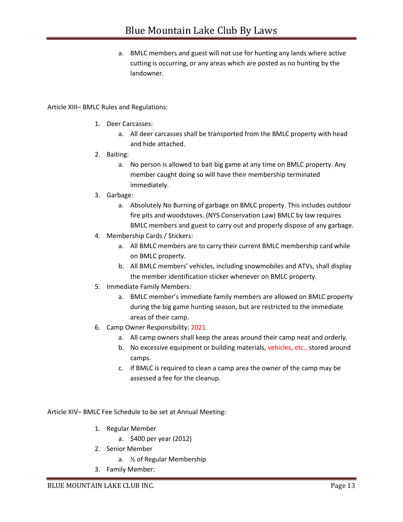a. BMLC members and guest will not use for hunting any lands where active cutting is occurring, or any areas which are posted as no hunting by the landowner.

## Article XIII– BMLC Rules and Regulations:

- 1. Deer Carcasses:
	- a. All deer carcasses shall be transported from the BMLC property with head and hide attached.
- 2. Baiting:
	- a. No person is allowed to bait big game at any time on BMLC property. Any member caught doing so will have their membership terminated immediately.
- 3. Garbage:
	- a. Absolutely No Burning of garbage on BMLC property. This includes outdoor fire pits and woodstoves. (NYS Conservation Law) BMLC by law requires BMLC members and guest to carry out and properly dispose of any garbage.
- 4. Membership Cards / Stickers:
	- a. All BMLC members are to carry their current BMLC membership card while on BMLC property.
	- b. All BMLC members' vehicles, including snowmobiles and ATVs, shall display the member identification sticker whenever on BMLC property.
- 5. Immediate Family Members:
	- a. BMLC member's immediate family members are allowed on BMLC property during the big game hunting season, but are restricted to the immediate areas of their camp.
- 6. Camp Owner Responsibility: 2021
	- a. All camp owners shall keep the areas around their camp neat and orderly.
	- b. No excessive equipment or building materials, vehicles, etc., stored around camps.
	- c. If BMLC is required to clean a camp area the owner of the camp may be assessed a fee for the cleanup.

Article XIV– BMLC Fee Schedule to be set at Annual Meeting:

- 1. Regular Member
	- a. \$400 per year (2012)
- 2. Senior Member
	- a. ½ of Regular Membership
- 3. Family Member: